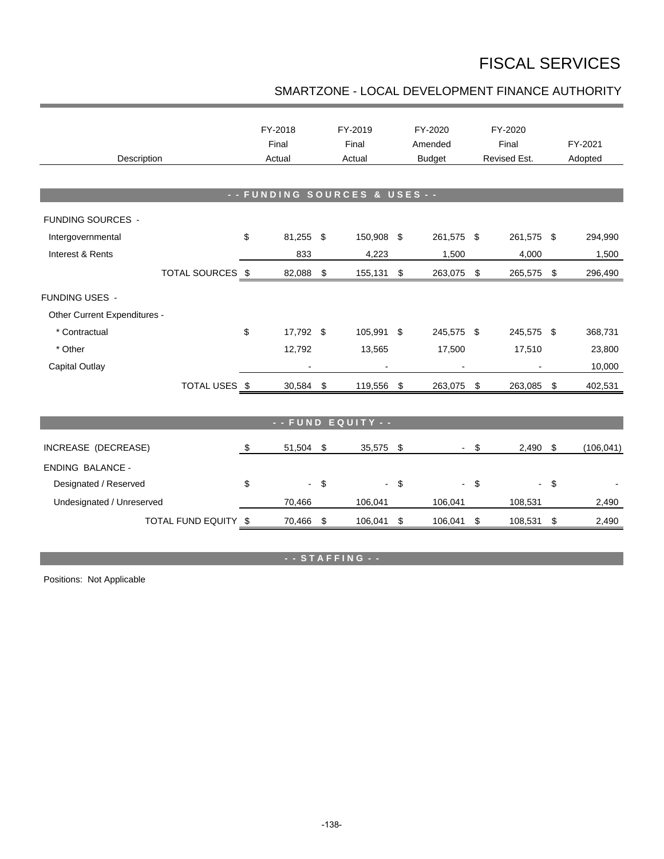## FISCAL SERVICES

## SMARTZONE - LOCAL DEVELOPMENT FINANCE AUTHORITY

| Description                  |    | FY-2018<br>Final<br>Actual |                            | FY-2019<br>Final<br>Actual |     | FY-2020<br>Amended<br><b>Budget</b> | FY-2020<br>Final<br>Revised Est. |                          |            | FY-2021<br>Adopted |  |  |
|------------------------------|----|----------------------------|----------------------------|----------------------------|-----|-------------------------------------|----------------------------------|--------------------------|------------|--------------------|--|--|
| -- FUNDING SOURCES & USES -- |    |                            |                            |                            |     |                                     |                                  |                          |            |                    |  |  |
| <b>FUNDING SOURCES -</b>     |    |                            |                            |                            |     |                                     |                                  |                          |            |                    |  |  |
| Intergovernmental            | \$ | 81,255 \$                  |                            | 150,908 \$                 |     | 261,575 \$                          |                                  | 261,575 \$               |            | 294,990            |  |  |
| Interest & Rents             |    | 833                        |                            | 4,223                      |     | 1,500                               |                                  | 4,000                    |            | 1,500              |  |  |
| TOTAL SOURCES \$             |    | 82,088                     | \$                         | 155,131 \$                 |     | 263,075 \$                          |                                  | 265,575                  | $\sqrt{3}$ | 296,490            |  |  |
| <b>FUNDING USES -</b>        |    |                            |                            |                            |     |                                     |                                  |                          |            |                    |  |  |
| Other Current Expenditures - |    |                            |                            |                            |     |                                     |                                  |                          |            |                    |  |  |
| * Contractual                | \$ | 17,792 \$                  |                            | 105,991 \$                 |     | 245,575 \$                          |                                  | 245,575 \$               |            | 368,731            |  |  |
| * Other                      |    | 12,792                     |                            | 13,565                     |     | 17,500                              |                                  | 17,510                   |            | 23,800             |  |  |
| Capital Outlay               |    |                            |                            |                            |     |                                     |                                  |                          |            | 10,000             |  |  |
| TOTAL USES \$                |    | 30,584                     | \$                         | 119,556                    | \$  | 263,075 \$                          |                                  | 263,085                  | \$         | 402,531            |  |  |
|                              |    |                            |                            |                            |     |                                     |                                  |                          |            |                    |  |  |
| - - FUND EQUITY - -          |    |                            |                            |                            |     |                                     |                                  |                          |            |                    |  |  |
| INCREASE (DECREASE)          | \$ | 51,504                     | $\boldsymbol{\mathsf{\$}}$ | 35,575                     | -\$ |                                     | - \$                             | 2,490                    | \$         | (106, 041)         |  |  |
| <b>ENDING BALANCE -</b>      |    |                            |                            |                            |     |                                     |                                  |                          |            |                    |  |  |
| Designated / Reserved        | \$ | $\blacksquare$             | \$                         | $\blacksquare$             | \$  |                                     | $\boldsymbol{\mathsf{S}}$        | $\overline{\phantom{0}}$ | \$         |                    |  |  |
| Undesignated / Unreserved    |    | 70,466                     |                            | 106,041                    |     | 106,041                             |                                  | 108,531                  |            | 2,490              |  |  |
| TOTAL FUND EQUITY \$         |    | 70,466                     | \$                         | 106,041                    | \$  | 106,041                             | \$                               | 108,531                  | \$         | 2,490              |  |  |

**- - S T A F F I N G - -**

Positions: Not Applicable